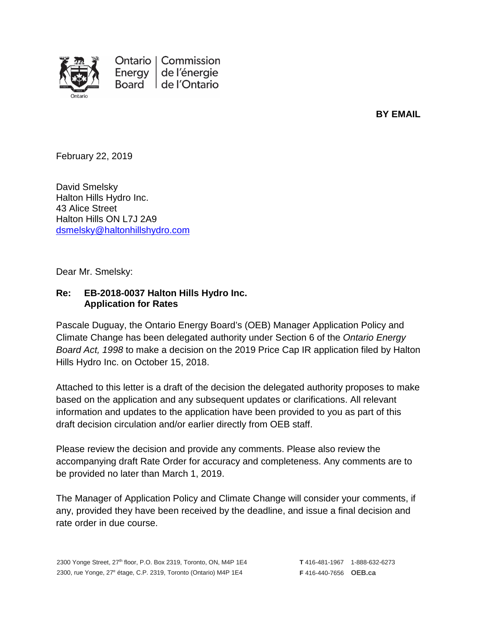

**BY EMAIL**

February 22, 2019

David Smelsky Halton Hills Hydro Inc. 43 Alice Street Halton Hills ON L7J 2A9 [dsmelsky@haltonhillshydro.com](mailto:dsmelsky@haltonhillshydro.com)

Dear Mr. Smelsky:

## **Re: EB-2018-0037 Halton Hills Hydro Inc. Application for Rates**

Pascale Duguay, the Ontario Energy Board's (OEB) Manager Application Policy and Climate Change has been delegated authority under Section 6 of the *Ontario Energy Board Act, 1998* to make a decision on the 2019 Price Cap IR application filed by Halton Hills Hydro Inc. on October 15, 2018.

Attached to this letter is a draft of the decision the delegated authority proposes to make based on the application and any subsequent updates or clarifications. All relevant information and updates to the application have been provided to you as part of this draft decision circulation and/or earlier directly from OEB staff.

Please review the decision and provide any comments. Please also review the accompanying draft Rate Order for accuracy and completeness. Any comments are to be provided no later than March 1, 2019.

The Manager of Application Policy and Climate Change will consider your comments, if any, provided they have been received by the deadline, and issue a final decision and rate order in due course.